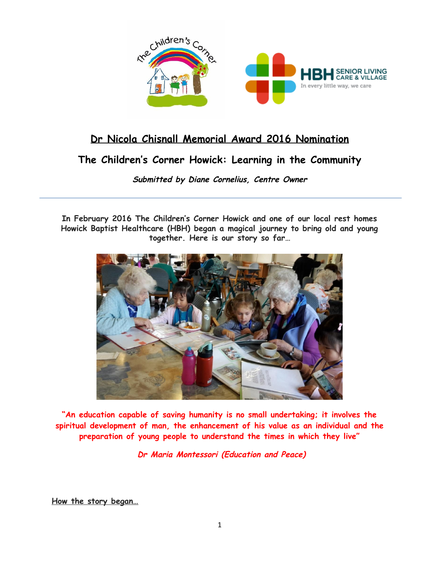

## **Dr Nicola Chisnall Memorial Award 2016 Nomination**

# **The Children's Corner Howick: Learning in the Community**

**Submitted by Diane Cornelius, Centre Owner**

**In February 2016 The Children's Corner Howick and one of our local rest homes Howick Baptist Healthcare (HBH) began a magical journey to bring old and young together. Here is our story so far…**



**"An education capable of saving humanity is no small undertaking; it involves the spiritual development of man, the enhancement of his value as an individual and the preparation of young people to understand the times in which they live"**

**Dr Maria Montessori (Education and Peace)**

**How the story began…**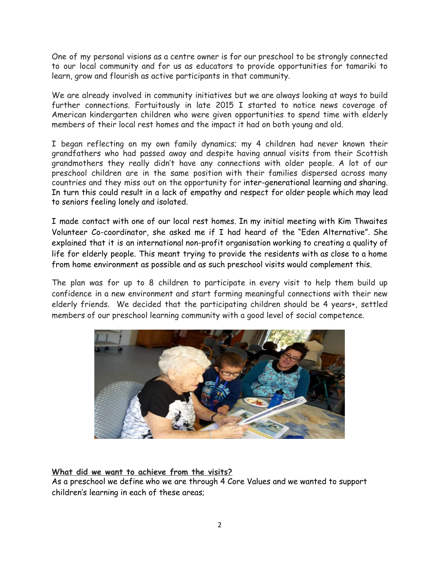One of my personal visions as a centre owner is for our preschool to be strongly connected to our local community and for us as educators to provide opportunities for tamariki to learn, grow and flourish as active participants in that community.

We are already involved in community initiatives but we are always looking at ways to build further connections. Fortuitously in late 2015 I started to notice news coverage of American kindergarten children who were given opportunities to spend time with elderly members of their local rest homes and the impact it had on both young and old.

I began reflecting on my own family dynamics; my 4 children had never known their grandfathers who had passed away and despite having annual visits from their Scottish grandmothers they really didn't have any connections with older people. A lot of our preschool children are in the same position with their families dispersed across many countries and they miss out on the opportunity for inter-generational learning and sharing. In turn this could result in a lack of empathy and respect for older people which may lead to seniors feeling lonely and isolated.

I made contact with one of our local rest homes. In my initial meeting with Kim Thwaites Volunteer Co-coordinator, she asked me if I had heard of the "Eden Alternative". She explained that it is an international non-profit organisation working to creating a quality of life for elderly people. This meant trying to provide the residents with as close to a home from home environment as possible and as such preschool visits would complement this.

The plan was for up to 8 children to participate in every visit to help them build up confidence in a new environment and start forming meaningful connections with their new elderly friends. We decided that the participating children should be 4 years+, settled members of our preschool learning community with a good level of social competence.



## **What did we want to achieve from the visits?**

As a preschool we define who we are through 4 Core Values and we wanted to support children's learning in each of these areas;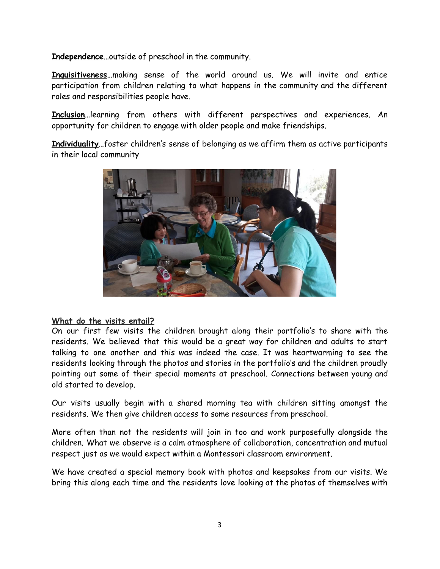**Independence…**outside of preschool in the community.

**Inquisitiveness…**making sense of the world around us. We will invite and entice participation from children relating to what happens in the community and the different roles and responsibilities people have.

**Inclusion…**learning from others with different perspectives and experiences. An opportunity for children to engage with older people and make friendships.

**Individuality…**foster children's sense of belonging as we affirm them as active participants in their local community



#### **What do the visits entail?**

On our first few visits the children brought along their portfolio's to share with the residents. We believed that this would be a great way for children and adults to start talking to one another and this was indeed the case. It was heartwarming to see the residents looking through the photos and stories in the portfolio's and the children proudly pointing out some of their special moments at preschool. Connections between young and old started to develop.

Our visits usually begin with a shared morning tea with children sitting amongst the residents. We then give children access to some resources from preschool.

More often than not the residents will join in too and work purposefully alongside the children. What we observe is a calm atmosphere of collaboration, concentration and mutual respect just as we would expect within a Montessori classroom environment.

We have created a special memory book with photos and keepsakes from our visits. We bring this along each time and the residents love looking at the photos of themselves with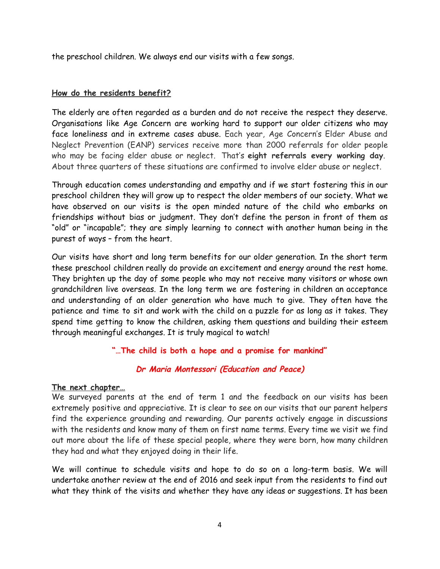the preschool children. We always end our visits with a few songs.

### **How do the residents benefit?**

The elderly are often regarded as a burden and do not receive the respect they deserve. Organisations like Age Concern are working hard to support our older citizens who may face loneliness and in extreme cases abuse. Each year, Age Concern's Elder Abuse and Neglect Prevention (EANP) services receive more than 2000 referrals for older people who may be facing elder abuse or neglect. That's **eight referrals every working day**. About three quarters of these situations are confirmed to involve elder abuse or neglect.

Through education comes understanding and empathy and if we start fostering this in our preschool children they will grow up to respect the older members of our society. What we have observed on our visits is the open minded nature of the child who embarks on friendships without bias or judgment. They don't define the person in front of them as "old" or "incapable"; they are simply learning to connect with another human being in the purest of ways – from the heart.

Our visits have short and long term benefits for our older generation. In the short term these preschool children really do provide an excitement and energy around the rest home. They brighten up the day of some people who may not receive many visitors or whose own grandchildren live overseas. In the long term we are fostering in children an acceptance and understanding of an older generation who have much to give. They often have the patience and time to sit and work with the child on a puzzle for as long as it takes. They spend time getting to know the children, asking them questions and building their esteem through meaningful exchanges. It is truly magical to watch!

**"…The child is both a hope and a promise for mankind"**

## **Dr Maria Montessori (Education and Peace)**

#### **The next chapter…**

We surveyed parents at the end of term 1 and the feedback on our visits has been extremely positive and appreciative. It is clear to see on our visits that our parent helpers find the experience grounding and rewarding. Our parents actively engage in discussions with the residents and know many of them on first name terms. Every time we visit we find out more about the life of these special people, where they were born, how many children they had and what they enjoyed doing in their life.

We will continue to schedule visits and hope to do so on a long-term basis. We will undertake another review at the end of 2016 and seek input from the residents to find out what they think of the visits and whether they have any ideas or suggestions. It has been